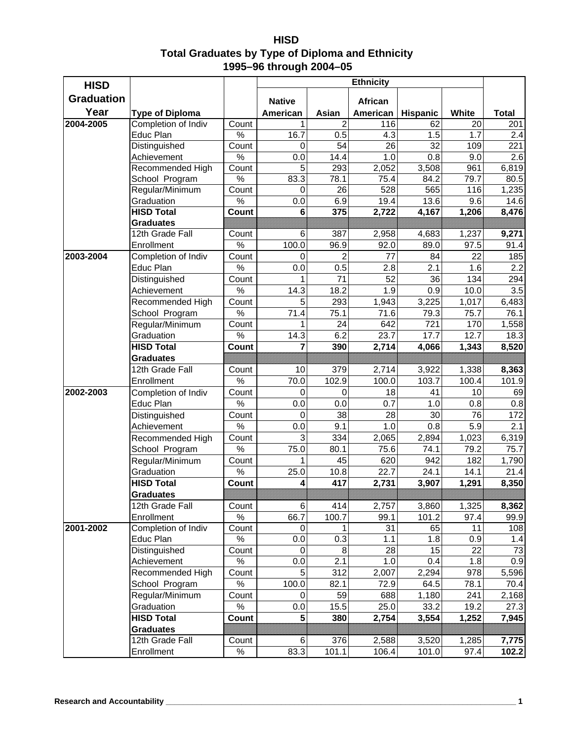| <b>HISD</b>                                      |
|--------------------------------------------------|
| Total Graduates by Type of Diploma and Ethnicity |
| 1995-96 through 2004-05                          |

| <b>HISD</b>       |                                 |               |               |                | <b>Ethnicity</b> |           |            |              |
|-------------------|---------------------------------|---------------|---------------|----------------|------------------|-----------|------------|--------------|
| <b>Graduation</b> |                                 |               |               |                |                  |           |            |              |
|                   |                                 |               | <b>Native</b> |                | <b>African</b>   |           |            |              |
| Year              | <b>Type of Diploma</b>          |               | American      | Asian          | American         | Hispanic  | White      | <b>Total</b> |
| 2004-2005         | Completion of Indiv             | Count         | 1             | $\overline{2}$ | 116              | 62        | 20         | 201          |
|                   | Educ Plan                       | $\%$          | 16.7          | 0.5            | 4.3              | 1.5       | 1.7        | 2.4          |
|                   | Distinguished                   | Count<br>$\%$ | 0<br>0.0      | 54<br>14.4     | 26<br>1.0        | 32<br>0.8 | 109        | 221<br>2.6   |
|                   | Achievement<br>Recommended High | Count         | 5             | 293            |                  | 3,508     | 9.0<br>961 | 6,819        |
|                   | School Program                  | $\%$          | 83.3          | 78.1           | 2,052<br>75.4    | 84.2      | 79.7       | 80.5         |
|                   | Regular/Minimum                 | Count         | 0             | 26             | 528              | 565       | 116        | 1,235        |
|                   | Graduation                      | $\%$          | 0.0           | 6.9            | 19.4             | 13.6      | 9.6        | 14.6         |
|                   | <b>HISD Total</b>               | Count         | $\bf 6$       | 375            | 2,722            | 4,167     | 1,206      | 8,476        |
|                   | <b>Graduates</b>                |               |               |                |                  |           |            |              |
|                   | 12th Grade Fall                 | Count         | 6             | 387            | 2,958            | 4,683     | 1,237      | 9,271        |
|                   | Enrollment                      | $\%$          | 100.0         | 96.9           | 92.0             | 89.0      | 97.5       | 91.4         |
| 2003-2004         | Completion of Indiv             | Count         | $\Omega$      | $\overline{2}$ | 77               | 84        | 22         | 185          |
|                   | Educ Plan                       | $\%$          | 0.0           | 0.5            | 2.8              | 2.1       | 1.6        | 2.2          |
|                   | Distinguished                   | Count         | 1             | 71             | 52               | 36        | 134        | 294          |
|                   | Achievement                     | $\%$          | 14.3          | 18.2           | 1.9              | 0.9       | 10.0       | 3.5          |
|                   | Recommended High                | Count         | 5             | 293            | 1,943            | 3,225     | 1,017      | 6,483        |
|                   | School Program                  | $\%$          | 71.4          | 75.1           | 71.6             | 79.3      | 75.7       | 76.1         |
|                   | Regular/Minimum                 | Count         | 1             | 24             | 642              | 721       | 170        | 1,558        |
|                   | Graduation                      | $\%$          | 14.3          | 6.2            | 23.7             | 17.7      | 12.7       | 18.3         |
|                   | <b>HISD Total</b>               | Count         | 7             | 390            | 2,714            | 4,066     | 1,343      | 8,520        |
|                   | <b>Graduates</b>                |               |               |                |                  |           |            |              |
|                   | 12th Grade Fall                 | Count         | 10            | 379            | 2,714            | 3,922     | 1,338      | 8,363        |
|                   | Enrollment                      | $\%$          | 70.0          | 102.9          | 100.0            | 103.7     | 100.4      | 101.9        |
| 2002-2003         | Completion of Indiv             | Count         | 0             | 0              | 18               | 41        | 10         | 69           |
|                   | Educ Plan                       | $\%$          | 0.0           | 0.0            | 0.7              | 1.0       | 0.8        | 0.8          |
|                   | Distinguished                   | Count         | 0             | 38             | 28               | 30        | 76         | 172          |
|                   | Achievement                     | $\%$          | 0.0           | 9.1            | 1.0              | 0.8       | 5.9        | 2.1          |
|                   | Recommended High                | Count         | 3             | 334            | 2,065            | 2,894     | 1,023      | 6,319        |
|                   | School Program                  | $\%$          | 75.0          | 80.1           | 75.6             | 74.1      | 79.2       | 75.7         |
|                   | Regular/Minimum                 | Count         | 1             | 45             | 620              | 942       | 182        | 1,790        |
|                   | Graduation                      | $\%$          | 25.0          | 10.8           | 22.7             | 24.1      | 14.1       | 21.4         |
|                   | <b>HISD Total</b>               | Count         | 4             | 417            | 2,731            | 3,907     | 1,291      | 8,350        |
|                   | <b>Graduates</b>                |               |               | !!!!!X!!!!!!!! |                  |           |            |              |
|                   | 12th Grade Fall                 | Count         | 6             | 414            | 2,757            | 3,860     | 1,325      | 8,362        |
|                   | Enrollment                      | $\%$          | 66.7          | 100.7          | 99.1             | 101.2     | 97.4       | 99.9         |
| 2001-2002         | Completion of Indiv             | Count         | $\pmb{0}$     | 1              | 31               | 65        | 11         | 108          |
|                   | Educ Plan                       | $\%$          | 0.0           | 0.3            | 1.1              | 1.8       | 0.9        | 1.4          |
|                   | Distinguished                   | Count         | 0             | 8              | 28               | 15        | 22         | 73           |
|                   | Achievement                     | $\%$          | 0.0           | 2.1            | 1.0              | 0.4       | 1.8        | 0.9          |
|                   | Recommended High                | Count         | 5             | 312            | 2,007            | 2,294     | 978        | 5,596        |
|                   | School Program                  | $\%$          | 100.0         | 82.1           | 72.9             | 64.5      | 78.1       | 70.4         |
|                   | Regular/Minimum                 | Count         | 0             | 59             | 688              | 1,180     | 241        | 2,168        |
|                   | Graduation                      | $\%$          | 0.0           | 15.5           | 25.0             | 33.2      | 19.2       | 27.3         |
|                   | <b>HISD Total</b>               | Count         | 5             | 380            | 2,754            | 3,554     | 1,252      | 7,945        |
|                   | <b>Graduates</b>                |               |               |                |                  |           |            |              |
|                   | 12th Grade Fall                 | Count         | 6             | 376            | 2,588            | 3,520     | 1,285      | 7,775        |
|                   | Enrollment                      | $\%$          | 83.3          | 101.1          | 106.4            | 101.0     | 97.4       | 102.2        |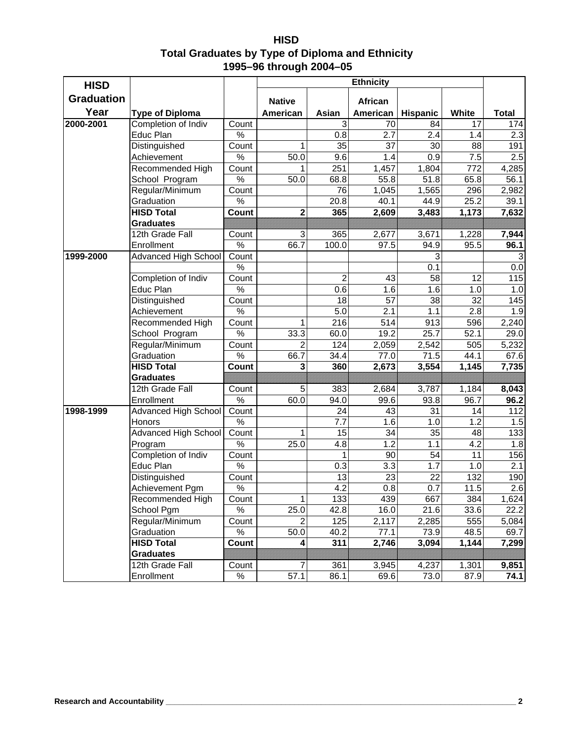| <b>HISD</b>                                             |
|---------------------------------------------------------|
| <b>Total Graduates by Type of Diploma and Ethnicity</b> |
| 1995-96 through 2004-05                                 |

| <b>HISD</b>       |                                | <b>Ethnicity</b> |                |                  |           |                 |              |              |
|-------------------|--------------------------------|------------------|----------------|------------------|-----------|-----------------|--------------|--------------|
| <b>Graduation</b> |                                |                  | <b>Native</b>  |                  | African   |                 |              |              |
| Year              | <b>Type of Diploma</b>         |                  | American       | Asian            | American  | <b>Hispanic</b> | <b>White</b> | <b>Total</b> |
| 2000-2001         | Completion of Indiv            | Count            |                | $\overline{3}$   | 70        | 84              | 17           | 174          |
|                   | Educ Plan                      | $\%$             |                | 0.8              | 2.7       | 2.4             | 1.4          | 2.3          |
|                   | Distinguished                  | Count            | 1              | 35               | 37        | 30              | 88           | 191          |
|                   | Achievement                    | $\%$             | 50.0           | 9.6              | 1.4       | 0.9             | 7.5          | 2.5          |
|                   | Recommended High               | Count            |                | 251              | 1,457     | 1,804           | 772          | 4,285        |
|                   | School Program                 | $\%$             | 50.0           | 68.8             | 55.8      | 51.8            | 65.8         | 56.1         |
|                   | Regular/Minimum                | Count            |                | 76               | 1,045     | 1,565           | 296          | 2,982        |
|                   | Graduation                     | $\%$             |                | 20.8             | 40.1      | 44.9            | 25.2         | 39.1         |
|                   | <b>HISD Total</b>              | Count            | $\overline{2}$ | 365              | 2,609     | 3,483           | 1,173        | 7,632        |
|                   | <b>Graduates</b>               |                  |                |                  |           |                 |              |              |
|                   | 12th Grade Fall                | Count            | 3              | 365              | 2,677     | 3,671           | 1,228        | 7,944        |
|                   | Enrollment                     | $\%$             | 66.7           | 100.0            | 97.5      | 94.9            | 95.5         | 96.1         |
| 1999-2000         | <b>Advanced High School</b>    | Count            |                |                  |           | 3               |              |              |
|                   |                                | $\%$             |                |                  |           | 0.1             |              | 0.0          |
|                   | Completion of Indiv            | Count            |                | $\overline{c}$   | 43        | 58              | 12           | 115          |
|                   | Educ Plan                      | $\%$             |                | 0.6              | 1.6       | 1.6             | 1.0          | 1.0          |
|                   | Distinguished                  | Count            |                | 18               | 57        | 38              | 32           | 145          |
|                   | Achievement                    | $\%$             |                | 5.0              | 2.1       | 1.1             | 2.8          | 1.9          |
|                   | Recommended High               | Count            | 1              | 216              | 514       | 913             | 596          | 2,240        |
|                   | School Program                 | %                | 33.3           | 60.0             | 19.2      | 25.7            | 52.1         | 29.0         |
|                   | Regular/Minimum                | Count            | $\overline{2}$ | 124              | 2,059     | 2,542           | 505          | 5,232        |
|                   | Graduation                     | $\%$             | 66.7           | 34.4             | 77.0      | 71.5            | 44.1         | 67.6         |
|                   | <b>HISD Total</b>              | Count            | 3              | 360              | 2,673     | 3,554           | 1,145        | 7,735        |
|                   | <b>Graduates</b>               |                  |                |                  |           |                 |              |              |
|                   | 12th Grade Fall                | Count            | 5              | 383              | 2,684     | 3,787           | 1,184        | 8,043        |
|                   | Enrollment                     | $\%$             | 60.0           | 94.0             | 99.6      | 93.8            | 96.7         | 96.2         |
| 1998-1999         | <b>Advanced High School</b>    | Count            |                | 24               | 43        | 31              | 14           | 112          |
|                   | Honors                         | $\%$<br>Count    |                | 7.7<br>15        | 1.6<br>34 | 1.0<br>35       | 1.2<br>48    | 1.5<br>133   |
|                   | <b>Advanced High School</b>    | $\%$             | 1<br>25.0      | 4.8              | 1.2       | 1.1             | 4.2          | 1.8          |
|                   | Program<br>Completion of Indiv | Count            |                | 1                | 90        | 54              | 11           | 156          |
|                   | Educ Plan                      | $\%$             |                | 0.3              | 3.3       | 1.7             | 1.0          | 2.1          |
|                   | Distinguished                  | Count            |                | 13               | 23        | 22              | 132          | 190          |
|                   | Achievement Pgm                | $\%$             |                | $\overline{4.2}$ | 0.8       | 0.7             | 11.5         | 2.6          |
|                   | Recommended High               | Count            | $\mathbf{1}$   | 133              | 439       | 667             | 384          | 1,624        |
|                   | School Pgm                     | $\%$             | 25.0           | 42.8             | 16.0      | 21.6            | 33.6         | 22.2         |
|                   | Regular/Minimum                | Count            | 2              | 125              | 2,117     | 2,285           | 555          | 5,084        |
|                   | Graduation                     | $\%$             | 50.0           | 40.2             | 77.1      | 73.9            | 48.5         | 69.7         |
|                   | <b>HISD Total</b>              | Count            | 4              | 311              | 2,746     | 3,094           | 1,144        | 7,299        |
|                   | <b>Graduates</b>               |                  |                |                  |           |                 |              |              |
|                   | 12th Grade Fall                | Count            | 7              | 361              | 3,945     | 4,237           | 1,301        | 9,851        |
|                   | Enrollment                     | $\%$             | 57.1           | 86.1             | 69.6      | 73.0            | 87.9         | 74.1         |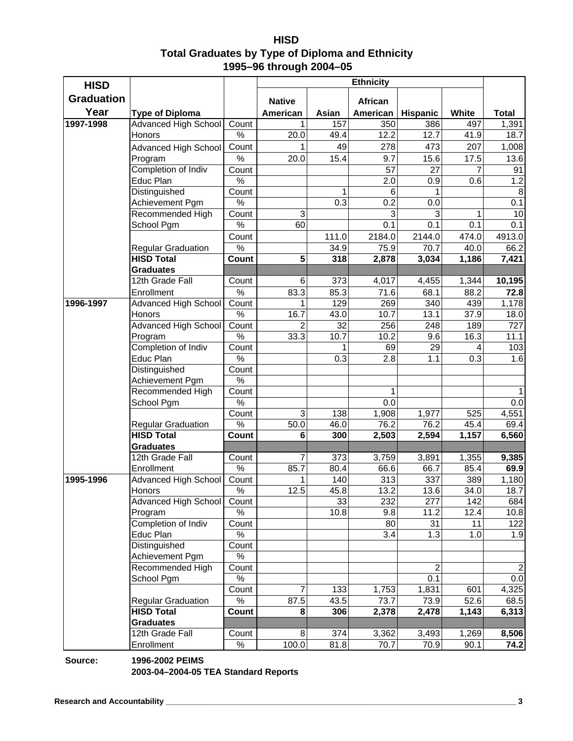| <b>HISD</b>                                      |
|--------------------------------------------------|
| Total Graduates by Type of Diploma and Ethnicity |
| 1995-96 through 2004-05                          |

| <b>HISD</b>       |                             |       |                   |                   | Ethnicity      |                |         |                |
|-------------------|-----------------------------|-------|-------------------|-------------------|----------------|----------------|---------|----------------|
| <b>Graduation</b> |                             |       | <b>Native</b>     |                   | <b>African</b> |                |         |                |
| Year              | <b>Type of Diploma</b>      |       | American          | Asian             | American       | Hispanic       | White   | <b>Total</b>   |
| 1997-1998         | Advanced High School        | Count | 1                 | 157               | 350            | 386            | 497     | 1,391          |
|                   | Honors                      | $\%$  | 20.0              | 49.4              | 12.2           | 12.7           | 41.9    | 18.7           |
|                   |                             | Count | 1                 | 49                | 278            | 473            | 207     |                |
|                   | <b>Advanced High School</b> |       |                   |                   |                |                |         | 1,008          |
|                   | Program                     | $\%$  | 20.0              | 15.4              | 9.7            | 15.6           | 17.5    | 13.6           |
|                   | Completion of Indiv         | Count |                   |                   | 57             | 27             | 7       | 91             |
|                   | Educ Plan                   | $\%$  |                   |                   | 2.0            | 0.9            | $0.6\,$ | 1.2            |
|                   | Distinguished               | Count |                   | 1                 | 6              | 1              |         | 8              |
|                   | Achievement Pgm             | $\%$  |                   | 0.3               | 0.2            | 0.0            |         | 0.1            |
|                   | Recommended High            | Count | 3                 |                   | 3              | 3              | 1       | 10             |
|                   | School Pgm                  | $\%$  | 60                |                   | 0.1            | 0.1            | 0.1     | 0.1            |
|                   |                             | Count |                   | 111.0             | 2184.0         | 2144.0         | 474.0   | 4913.0         |
|                   | <b>Regular Graduation</b>   | $\%$  |                   | 34.9              | 75.9           | 70.7           | 40.0    | 66.2           |
|                   | <b>HISD Total</b>           | Count | 5                 | 318               | 2,878          | 3,034          | 1,186   | 7,421          |
|                   | <b>Graduates</b>            |       |                   |                   |                |                |         |                |
|                   | 12th Grade Fall             | Count | 6                 | 373               | 4,017          | 4,455          | 1,344   | 10,195         |
|                   | Enrollment                  | $\%$  | 83.3              | 85.3              | 71.6           | 68.1           | 88.2    | 72.8           |
| 1996-1997         | <b>Advanced High School</b> | Count | 1                 | 129               | 269            | 340            | 439     | 1,178          |
|                   | Honors                      | $\%$  | $\overline{16.7}$ | 43.0              | 10.7           | 13.1           | 37.9    | 18.0           |
|                   | Advanced High School        | Count | $\overline{2}$    | 32                | 256            | 248            | 189     | 727            |
|                   | Program                     | $\%$  | 33.3              | $10.\overline{7}$ | 10.2           | 9.6            | 16.3    | 11.1           |
|                   | Completion of Indiv         | Count |                   |                   | 69             | 29             |         | 103            |
|                   | Educ Plan                   | $\%$  |                   | $0.\overline{3}$  | 2.8            | 1.1            | 0.3     | 1.6            |
|                   | Distinguished               | Count |                   |                   |                |                |         |                |
|                   | Achievement Pgm             | $\%$  |                   |                   |                |                |         |                |
|                   | Recommended High            | Count |                   |                   | 1              |                |         |                |
|                   | School Pgm                  | $\%$  |                   |                   | 0.0            |                |         | 0.0            |
|                   |                             | Count | 3                 | 138               | 1,908          | 1,977          | 525     | 4,551          |
|                   | Regular Graduation          | $\%$  | 50.0              | 46.0              | 76.2           | 76.2           | 45.4    | 69.4           |
|                   | <b>HISD Total</b>           | Count | 6                 | 300               | 2,503          | 2,594          | 1,157   | 6,560          |
|                   | <b>Graduates</b>            |       |                   |                   |                |                |         |                |
|                   | 12th Grade Fall             | Count | $\overline{7}$    | 373               | 3,759          | 3,891          | 1,355   | 9,385          |
|                   | Enrollment                  | $\%$  | 85.7              | 80.4              | 66.6           | 66.7           | 85.4    | 69.9           |
| 1995-1996         | Advanced High School        | Count | 1                 | 140               | 313            | 337            | 389     | 1,180          |
|                   | <b>Honors</b>               | $\%$  | 12.5              | 45.8              | 13.2           | 13.6           | 34.0    | 18.7           |
|                   | <b>Advanced High School</b> | Count |                   | 33                | 232            | 277            | 142     | 684            |
|                   | Program                     | $\%$  |                   | 10.8              | 9.8            | 11.2           | 12.4    | 10.8           |
|                   | Completion of Indiv         | Count |                   |                   | 80             | 31             | 11      | 122            |
|                   | Educ Plan                   | $\%$  |                   |                   | 3.4            | 1.3            | 1.0     | 1.9            |
|                   | Distinguished               | Count |                   |                   |                |                |         |                |
|                   | Achievement Pgm             | $\%$  |                   |                   |                |                |         |                |
|                   | Recommended High            | Count |                   |                   |                | $\overline{2}$ |         | $\overline{2}$ |
|                   | School Pgm                  | $\%$  |                   |                   |                | 0.1            |         | 0.0            |
|                   |                             | Count | 7                 | 133               | 1,753          | 1,831          | 601     | 4,325          |
|                   | <b>Regular Graduation</b>   | $\%$  | 87.5              | 43.5              | 73.7           | 73.9           | 52.6    | 68.5           |
|                   | <b>HISD Total</b>           | Count | 8                 | 306               | 2,378          | 2,478          | 1,143   | 6,313          |
|                   | <b>Graduates</b>            |       |                   |                   |                |                |         |                |
|                   | 12th Grade Fall             | Count | 8                 | 374               | 3,362          | 3,493          | 1,269   | 8,506          |
|                   | Enrollment                  | $\%$  | 100.0             | 81.8              | 70.7           | 70.9           | 90.1    | 74.2           |

**Source: 1996-2002 PEIMS 2003-04–2004-05 TEA Standard Reports**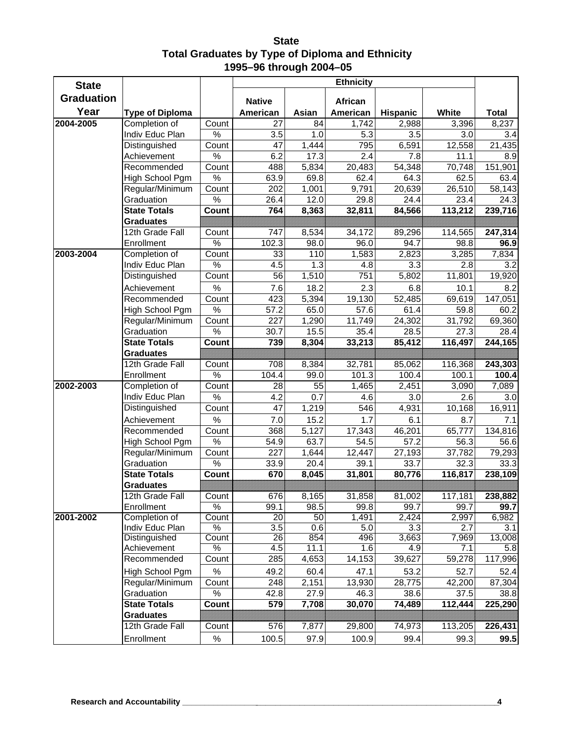**State Total Graduates by Type of Diploma and Ethnicity 1995–96 through 2004–05**

| <b>State</b>      |                                         |                        |                        |            | <b>Ethnicity</b>    |                 |              |               |
|-------------------|-----------------------------------------|------------------------|------------------------|------------|---------------------|-----------------|--------------|---------------|
| <b>Graduation</b> |                                         |                        | <b>Native</b>          |            |                     |                 |              |               |
| Year              | <b>Type of Diploma</b>                  |                        | American               | Asian      | African<br>American | <b>Hispanic</b> | White        | <b>Total</b>  |
| 2004-2005         | Completion of                           | Count                  | 27                     | 84         | 1,742               | 2,988           | 3,396        | 8,237         |
|                   | Indiv Educ Plan                         | $\%$                   | 3.5                    | 1.0        | 5.3                 | 3.5             | 3.0          | 3.4           |
|                   | Distinguished                           | Count                  | 47                     | 1,444      | 795                 | 6,591           | 12,558       | 21,435        |
|                   | Achievement                             | $\%$                   | 6.2                    | 17.3       | 2.4                 | 7.8             | 11.1         | 8.9           |
|                   | Recommended                             | Count                  | 488                    | 5,834      | 20,483              | 54,348          | 70,748       | 151,901       |
|                   | High School Pgm                         | $\%$                   | 63.9                   | 69.8       | 62.4                | 64.3            | 62.5         | 63.4          |
|                   | Regular/Minimum                         | Count                  | 202                    | 1,001      | 9,791               | 20,639          | 26,510       | 58,143        |
|                   | Graduation                              | $\frac{1}{2}$          | 26.4                   | 12.0       | 29.8                | 24.4            | 23.4         | 24.3          |
|                   | <b>State Totals</b>                     | Count                  | 764                    | 8,363      | 32,811              | 84,566          | 113,212      | 239,716       |
|                   | <b>Graduates</b>                        |                        |                        |            |                     |                 |              |               |
|                   | 12th Grade Fall                         | Count                  | 747                    | 8,534      | 34,172              | 89,296          | 114,565      | 247,314       |
|                   | Enrollment                              | $\frac{1}{2}$          | 102.3                  | 98.0       | 96.0                | 94.7            | 98.8         | 96.9          |
| 2003-2004         | Completion of                           | Count                  | 33                     | 110        | 1,583               | 2,823           | 3,285        | 7,834         |
|                   | Indiv Educ Plan                         | $\frac{1}{2}$          | 4.5                    | 1.3        | 4.8                 | 3.3             | 2.8          | 3.2           |
|                   | Distinguished                           | Count                  | 56                     | 1,510      | 751                 | 5,802           | 11,801       | 19,920        |
|                   | Achievement                             | $\%$                   | 7.6                    | 18.2       | 2.3                 | 6.8             | 10.1         | 8.2           |
|                   | Recommended                             | Count                  | 423                    | 5,394      | 19,130              | 52,485          | 69,619       | 147,051       |
|                   | High School Pgm                         | $\%$                   | 57.2                   | 65.0       | 57.6                | 61.4            | 59.8         | 60.2          |
|                   | Regular/Minimum                         | Count                  | 227                    | 1,290      | 11,749              | 24,302          | 31,792       | 69,360        |
|                   | Graduation                              | $\%$                   | 30.7                   | 15.5       | 35.4                | 28.5            | 27.3         | 28.4          |
|                   | <b>State Totals</b>                     | Count                  | 739                    | 8,304      | 33,213              | 85,412          | 116,497      | 244,165       |
|                   | <b>Graduates</b>                        |                        |                        |            |                     |                 |              |               |
|                   | 12th Grade Fall                         | Count                  | 708                    | 8,384      | 32,781              | 85,062          | 116,368      | 243,303       |
|                   | Enrollment                              | $\frac{1}{2}$          | 104.4                  | 99.0       | 101.3               | 100.4           | 100.1        | 100.4         |
| 2002-2003         | Completion of                           | Count                  | 28                     | 55         | 1,465               | 2,451           | 3,090        | 7,089         |
|                   | Indiv Educ Plan                         | $\%$                   | 4.2                    | 0.7        | 4.6                 | 3.0             | 2.6          | 3.0           |
|                   | Distinguished                           | Count                  | 47                     | 1,219      | 546                 | 4,931           | 10,168       | 16,911        |
|                   | Achievement                             | $\%$                   | 7.0                    | 15.2       | 1.7                 | 6.1             | 8.7          | 7.1           |
|                   | Recommended                             | Count                  | 368                    | 5,127      | 17,343              | 46,201          | 65,777       | 134,816       |
|                   | High School Pgm                         | $\%$                   | 54.9                   | 63.7       | 54.5                | 57.2            | 56.3         | 56.6          |
|                   | Regular/Minimum                         | Count                  | 227                    | 1,644      | 12,447              | 27,193          | 37,782       | 79,293        |
|                   | Graduation                              | $\frac{1}{2}$          | 33.9                   | 20.4       | 39.1                | 33.7            | 32.3         | 33.3          |
|                   | <b>State Totals</b>                     | Count                  | 670                    | 8,045      | 31,801              | 80,776          | 116,817      | 238,109       |
|                   | <b>Graduates</b>                        |                        |                        |            |                     |                 |              |               |
|                   | 12th Grade Fall                         | Count                  | 676                    | 8,165      | 31,858              | 81,002          | 117,181      | 238,882       |
|                   | Enrollment                              | $\%$                   | 99.1                   | 98.5       | 99.8                | 99.7            | 99.7         | 99.7          |
| 2001-2002         | Completion of                           | Count                  | 20                     | 50         | 1,491               | 2,424           | 2,997        | 6,982         |
|                   | Indiv Educ Plan<br>Distinguished        | $\frac{1}{2}$<br>Count | 3.5<br>$\overline{26}$ | 0.6<br>854 | 5.0<br>496          | 3.3<br>3,663    | 2.7          | 3.1           |
|                   | Achievement                             | $\%$                   | 4.5                    | 11.1       | 1.6                 | 4.9             | 7,969<br>7.1 | 13,008<br>5.8 |
|                   | Recommended                             | Count                  | 285                    | 4,653      | 14,153              | 39,627          | 59,278       | 117,996       |
|                   |                                         | $\%$                   | 49.2                   |            | 47.1                | 53.2            | 52.7         |               |
|                   | High School Pgm                         |                        |                        | 60.4       |                     |                 |              | 52.4          |
|                   | Regular/Minimum                         | Count<br>$\%$          | 248                    | 2,151      | 13,930              | 28,775          | 42,200       | 87,304        |
|                   | Graduation                              |                        | 42.8                   | 27.9       | 46.3                | 38.6<br>74,489  | 37.5         | 38.8          |
|                   | <b>State Totals</b><br><b>Graduates</b> | Count                  | 579                    | 7,708      | 30,070              |                 | 112,444      | 225,290       |
|                   | 12th Grade Fall                         | Count                  | 576                    | 7,877      | 29,800              | 74,973          | 113,205      | 226,431       |
|                   |                                         |                        |                        |            |                     |                 |              |               |
|                   | Enrollment                              | $\%$                   | 100.5                  | 97.9       | 100.9               | 99.4            | 99.3         | 99.5          |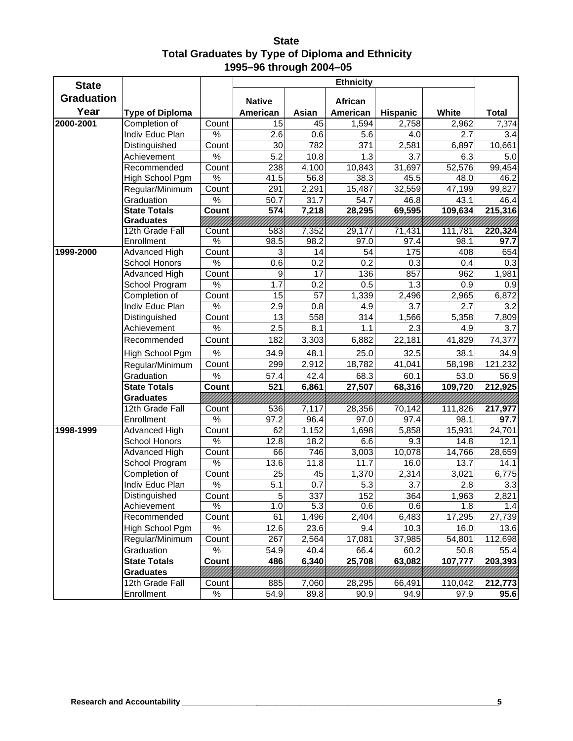**State Total Graduates by Type of Diploma and Ethnicity 1995–96 through 2004–05**

| <b>State</b>      |                                 |                        |                   |                    | <b>Ethnicity</b> |                    |                |               |
|-------------------|---------------------------------|------------------------|-------------------|--------------------|------------------|--------------------|----------------|---------------|
| <b>Graduation</b> |                                 |                        | <b>Native</b>     |                    | African          |                    |                |               |
| Year              | <b>Type of Diploma</b>          |                        | American          | Asian              | American         | <b>Hispanic</b>    | White          | <b>Total</b>  |
| 2000-2001         | Completion of                   | Count                  | 15                | 45                 | 1,594            | 2,758              | 2,962          | 7,374         |
|                   | Indiv Educ Plan                 | $\%$                   | 2.6               | 0.6                | 5.6              | 4.0                | 2.7            | 3.4           |
|                   | Distinguished                   | Count                  | 30                | 782                | 371              | $\overline{2,581}$ | 6,897          | 10,661        |
|                   | Achievement                     | $\%$                   | 5.2               | 10.8               | 1.3              | 3.7                | 6.3            | 5.0           |
|                   | Recommended                     | Count                  | 238               | 4,100              | 10,843           | 31,697             | 52,576         | 99,454        |
|                   | High School Pgm                 | $\frac{1}{2}$          | $\overline{41.5}$ | 56.8               | 38.3             | 45.5               | 48.0           | 46.2          |
|                   | Regular/Minimum                 | Count                  | 291               | 2,291              | 15,487           | 32,559             | 47,199         | 99,827        |
|                   | Graduation                      | $\%$                   | 50.7              | 31.7               | 54.7             | 46.8               | 43.1           | 46.4          |
|                   | <b>State Totals</b>             | Count                  | 574               | 7,218              | 28,295           | 69,595             | 109,634        | 215,316       |
|                   | <b>Graduates</b>                |                        |                   |                    |                  |                    |                |               |
|                   | 12th Grade Fall                 | Count                  | 583               | 7,352              | 29,177           | 71,431             | 111,781        | 220,324       |
|                   | Enrollment                      | $\frac{0}{6}$          | 98.5              | 98.2               | 97.0             | 97.4               | 98.1           | 97.7          |
| 1999-2000         | <b>Advanced High</b>            | Count                  | 3                 | 14                 | 54               | 175                | 408            | 654           |
|                   | School Honors                   | $\%$                   | 0.6               | 0.2                | 0.2              | 0.3                | 0.4            | 0.3           |
|                   | Advanced High                   | Count                  | 9                 | 17                 | 136              | 857                | 962            | 1,981         |
|                   | School Program                  | %                      | 1.7               | 0.2                | 0.5              | 1.3                | 0.9            | 0.9           |
|                   | Completion of                   | Count<br>$\frac{1}{2}$ | 15                | 57                 | 1,339            | 2,496              | 2,965          | 6,872         |
|                   | Indiv Educ Plan                 |                        | 2.9<br>13         | 0.8<br>558         | 4.9              | 3.7<br>1,566       | 2.7            | 3.2           |
|                   | Distinguished<br>Achievement    | Count<br>$\%$          | 2.5               | 8.1                | 314<br>1.1       | 2.3                | 5,358<br>4.9   | 7,809<br>3.7  |
|                   |                                 |                        |                   |                    |                  |                    |                | 74,377        |
|                   | Recommended                     | Count                  | 182               | 3,303              | 6,882            | 22,181             | 41,829         |               |
|                   | High School Pgm                 | $\%$                   | 34.9              | 48.1               | 25.0             | 32.5               | 38.1           | 34.9          |
|                   | Regular/Minimum                 | Count                  | 299               | 2,912              | 18,782           | 41,041             | 58,198         | 121,232       |
|                   | Graduation                      | $\%$                   | 57.4              | 42.4               | 68.3             | 60.1               | 53.0           | 56.9          |
|                   | <b>State Totals</b>             | Count                  | 521               | 6,861              | 27,507           | 68,316             | 109,720        | 212,925       |
|                   | <b>Graduates</b>                |                        |                   |                    |                  |                    |                |               |
|                   | 12th Grade Fall                 | Count                  | 536               | 7,117              | 28,356           | 70,142             | 111,826        | 217,977       |
|                   | Enrollment                      | $\%$                   | 97.2              | 96.4               | 97.0             | 97.4               | 98.1           | 97.7          |
| 1998-1999         | Advanced High                   | Count<br>%             | 62                | 1,152              | 1,698            | 5,858              | 15,931         | 24,701        |
|                   | School Honors                   |                        | 12.8              | 18.2               | 6.6              | 9.3                | 14.8           | 12.1          |
|                   | Advanced High                   | Count<br>$\%$          | 66                | 746<br>11.8        | 3,003<br>11.7    | 10,078             | 14,766<br>13.7 | 28,659        |
|                   | School Program<br>Completion of | Count                  | 13.6<br>25        | 45                 | 1,370            | 16.0<br>2,314      | 3,021          | 14.1<br>6,775 |
|                   | Indiv Educ Plan                 | $\%$                   | 5.1               | 0.7                | 5.3              | 3.7                | 2.8            | 3.3           |
|                   | Distinguished                   | Count                  |                   | 337                | 152              |                    | 1,963          | 2,821         |
|                   | Achievement                     | $\%$                   | 5<br>1.0          | 5.3                | 0.6              | 364<br>0.6         | 1.8            | 1.4           |
|                   | Recommended                     | Count                  | 61                | $\overline{1,}496$ | 2,404            | 6,483              | 17,295         | 27,739        |
|                   | High School Pgm                 | $\%$                   | 12.6              | 23.6               | 9.4              | 10.3               | 16.0           | 13.6          |
|                   | Regular/Minimum                 | Count                  | 267               | 2,564              | 17,081           | 37,985             | 54,801         | 112,698       |
|                   | Graduation                      | $\%$                   | 54.9              | 40.4               | 66.4             | 60.2               | 50.8           | 55.4          |
|                   | <b>State Totals</b>             | Count                  | 486               | 6,340              | 25,708           | 63,082             | 107,777        | 203,393       |
|                   | <b>Graduates</b>                |                        |                   |                    |                  |                    |                |               |
|                   | 12th Grade Fall                 | Count                  | 885               | 7,060              | 28,295           | 66,491             | 110,042        | 212,773       |
|                   | Enrollment                      | $\%$                   | 54.9              | 89.8               | 90.9             | 94.9               | 97.9           | 95.6          |